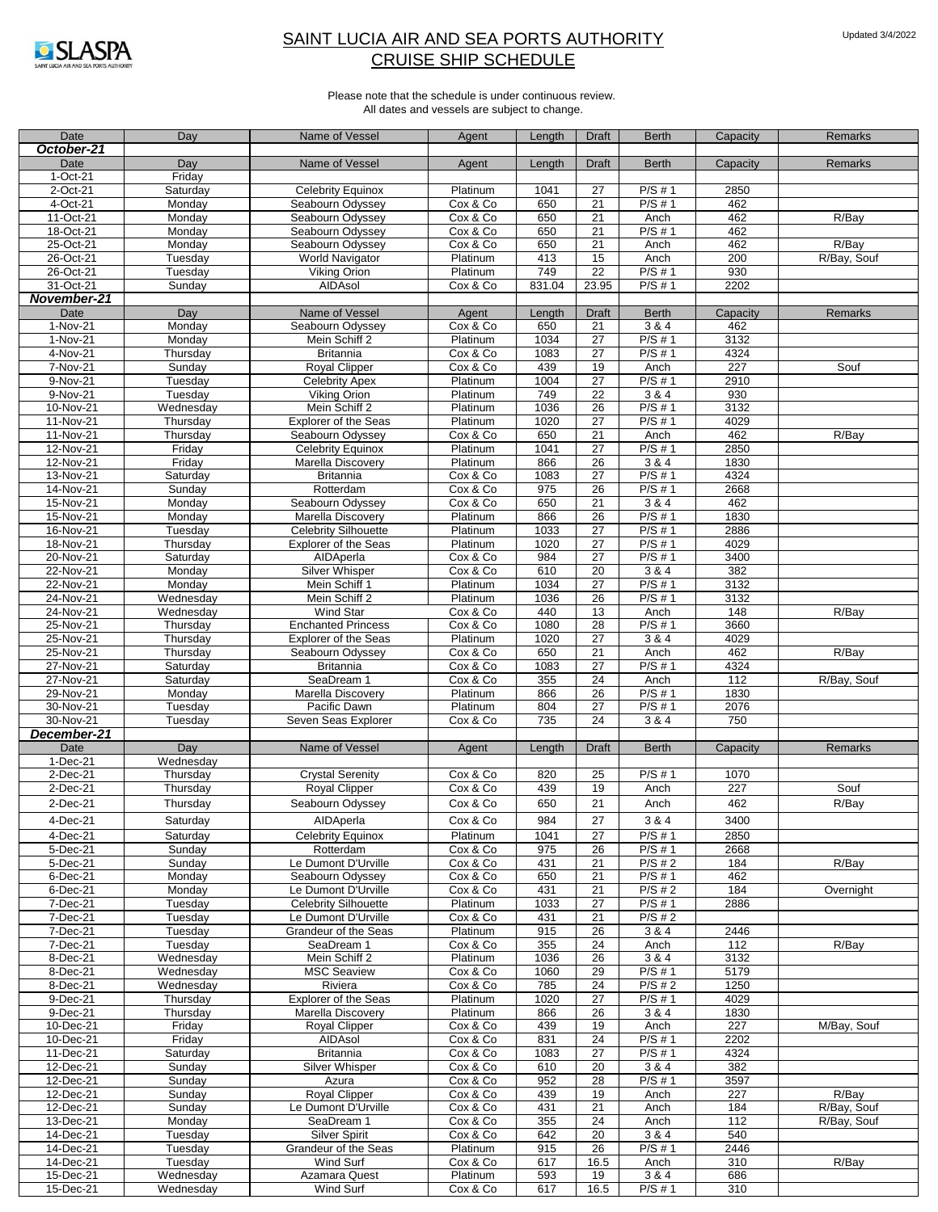

| Date                   | Day                    | Name of Vessel                    | Agent                | Length       | <b>Draft</b>          | <b>Berth</b>        | Capacity        | Remarks     |
|------------------------|------------------------|-----------------------------------|----------------------|--------------|-----------------------|---------------------|-----------------|-------------|
| October-21             |                        |                                   |                      |              |                       |                     |                 |             |
| Date                   | Day                    | Name of Vessel                    | Agent                | Length       | <b>Draft</b>          | <b>Berth</b>        | Capacity        | Remarks     |
| $1-Oct-21$             | Friday                 |                                   |                      |              |                       |                     |                 |             |
| 2-Oct-21               | Saturday               | <b>Celebrity Equinox</b>          | Platinum             | 1041         | 27                    | $P/S \# 1$          | 2850            |             |
| 4-Oct-21               | Monday                 | Seabourn Odyssey                  | Cox & Co             | 650          | $\overline{21}$       | $P/S \# 1$          | 462             |             |
| 11-Oct-21              | Monday                 | Seabourn Odyssey                  | Cox & Co             | 650          | 21                    | Anch                | 462             | R/Bay       |
| 18-Oct-21              | Monday                 | Seabourn Odyssey                  | Cox & Co             | 650          | 21                    | $P/S \# 1$          | 462             |             |
| 25-Oct-21              | Monday                 | Seabourn Odyssey                  | Cox & Co             | 650          | $\overline{21}$       | Anch                | 462             | R/Bay       |
| 26-Oct-21              | Tuesday                | <b>World Navigator</b>            | Platinum             | 413          | 15                    | Anch                | 200             | R/Bay, Souf |
| 26-Oct-21              | Tuesday                | Viking Orion                      | Platinum             | 749          | $\overline{22}$       | $P/S \# 1$          | 930             |             |
| 31-Oct-21              | Sunday                 | AIDAsol                           | Cox & Co             | 831.04       | 23.95                 | $P/S \# 1$          | 2202            |             |
| November-21            |                        |                                   |                      |              |                       |                     |                 |             |
| Date                   | Day                    | Name of Vessel                    | Agent                | Length       | <b>Draft</b>          | <b>Berth</b>        | Capacity        | Remarks     |
| 1-Nov-21<br>1-Nov-21   | Monday                 | Seabourn Odyssey<br>Mein Schiff 2 | Cox & Co<br>Platinum | 650<br>1034  | 21<br>27              | 3 & 4<br>$P/S \# 1$ | 462<br>3132     |             |
| 4-Nov-21               | Monday                 | <b>Britannia</b>                  | Cox & Co             | 1083         | 27                    | $P/S \# 1$          | 4324            |             |
| $\overline{7}$ -Nov-21 | Thursday<br>Sunday     | <b>Royal Clipper</b>              | Cox & Co             | 439          | 19                    | Anch                | 227             | Souf        |
| 9-Nov-21               | Tuesday                | <b>Celebrity Apex</b>             | Platinum             | 1004         | 27                    | $P/S \# 1$          | 2910            |             |
| 9-Nov-21               | Tuesday                | Viking Orion                      | Platinum             | 749          | 22                    | 3 & 4               | 930             |             |
| 10-Nov-21              | Wednesday              | Mein Schiff 2                     | Platinum             | 1036         | 26                    | $P/S \# 1$          | 3132            |             |
| 11-Nov-21              | Thursday               | <b>Explorer of the Seas</b>       | Platinum             | 1020         | $\overline{27}$       | $P/S \# 1$          | 4029            |             |
| 11-Nov-21              | Thursday               | Seabourn Odyssey                  | Cox & Co             | 650          | 21                    | Anch                | 462             | R/Bay       |
| 12-Nov-21              | Friday                 | <b>Celebrity Equinox</b>          | Platinum             | 1041         | $\overline{27}$       | $P/S \# 1$          | 2850            |             |
| 12-Nov-21              | Friday                 | Marella Discovery                 | Platinum             | 866          | $\overline{26}$       | 3 & 4               | 1830            |             |
| 13-Nov-21              | Saturday               | <b>Britannia</b>                  | Cox & Co             | 1083         | 27                    | $P/S \# 1$          | 4324            |             |
| 14-Nov-21              | Sunday                 | Rotterdam                         | Cox & Co             | 975          | $\overline{26}$       | $P/S \# 1$          | 2668            |             |
| 15-Nov-21              | Monday                 | Seabourn Odyssey                  | Cox & Co             | 650          | $\overline{21}$       | 3 & 4               | 462             |             |
| 15-Nov-21              | Monday                 | Marella Discovery                 | Platinum             | 866          | 26                    | P/S#1               | 1830            |             |
| 16-Nov-21              | Tuesday                | <b>Celebrity Silhouette</b>       | Platinum             | 1033         | 27                    | $P/S \# 1$          | 2886            |             |
| 18-Nov-21              | Thursday               | <b>Explorer of the Seas</b>       | Platinum             | 1020         | 27                    | $P/S \# 1$          | 4029            |             |
| 20-Nov-21              | Saturday               | AIDAperla                         | Cox & Co             | 984          | $\overline{27}$       | $P/S \# 1$          | 3400            |             |
| 22-Nov-21              | Monday                 | Silver Whisper                    | Cox & Co             | 610          | 20                    | 3 & 4               | 382             |             |
| 22-Nov-21              | Monday                 | Mein Schiff 1                     | Platinum             | 1034         | 27                    | $P/S \# 1$          | 3132            |             |
| 24-Nov-21              | Wednesday              | Mein Schiff 2                     | Platinum             | 1036         | 26                    | $P/S \# 1$          | 3132            |             |
| 24-Nov-21              | Wednesday              | Wind Star                         | Cox & Co             | 440          | 13                    | Anch                | 148             | R/Bay       |
| 25-Nov-21              | Thursday               | <b>Enchanted Princess</b>         | Cox & Co             | 1080         | 28                    | $P/S \# 1$          | 3660            |             |
| 25-Nov-21              | Thursday               | <b>Explorer of the Seas</b>       | Platinum             | 1020         | $\overline{27}$       | 3 & 4               | 4029            |             |
| 25-Nov-21              | Thursday               | Seabourn Odyssey                  | Cox & Co             | 650          | 21                    | Anch                | 462             | R/Bay       |
| 27-Nov-21              | Saturday               | <b>Britannia</b>                  | Cox & Co             | 1083         | $\overline{27}$       | $P/S \# 1$          | 4324            |             |
| 27-Nov-21              | Saturday               | SeaDream 1                        | Cox & Co             | 355          | 24                    | Anch                | $\frac{112}{2}$ | R/Bay, Souf |
| 29-Nov-21              | Monday                 | Marella Discovery                 | Platinum             | 866          | 26                    | P/S#1               | 1830            |             |
| 30-Nov-21              | Tuesday                | Pacific Dawn                      | Platinum             | 804          | $\overline{27}$       | $P/S \# 1$          | 2076            |             |
| 30-Nov-21              | Tuesday                | Seven Seas Explorer               | Cox & Co             | 735          | 24                    | 3 & 4               | 750             |             |
| December-21            |                        |                                   |                      |              |                       |                     |                 |             |
| Date                   | Day                    | Name of Vessel                    | Agent                | Length       | <b>Draft</b>          | <b>Berth</b>        | Capacity        | Remarks     |
| $1-Dec-21$             | Wednesday              |                                   |                      |              |                       |                     |                 |             |
| 2-Dec-21               | Thursday               | <b>Crystal Serenity</b>           | Cox & Co             | 820          | $\overline{25}$       | P/S#1               | 1070            |             |
| 2-Dec-21               | Thursday               | <b>Royal Clipper</b>              | Cox & Co             | 439          | 19                    | Anch                | 227             | Souf        |
| 2-Dec-21               | Thursday               | Seabourn Odyssey                  | Cox & Co             | 650          | 21                    | Anch                | 462             | R/Bay       |
| 4-Dec-21               | Saturday               | AIDAperla                         | Cox & Co             | 984          | 27                    | 3 & 4               | 3400            |             |
| 4-Dec-21               | Saturday               | Celebrity Equinox                 | Platinum             | 1041         | 27                    | P/S#1               | 2850            |             |
| $5-Dec-21$             | Sunday                 | Rotterdam                         | Cox & Co             | 975          | 26                    | P/S#1               | 2668            |             |
| 5-Dec-21               | Sunday                 | Le Dumont D'Urville               | Cox & Co             | 431          | 21                    | $P/S \# 2$          | 184             | R/Bay       |
| 6-Dec-21               | Monday                 | Seabourn Odvssev                  | Cox & Co             | 650          | $\overline{21}$       | $P/S \# 1$          | 462             |             |
| 6-Dec-21               | Monday                 | Le Dumont D'Urville               | Cox & Co             | 431          | 21                    | P/S#2               | 184             | Overnight   |
| 7-Dec-21               | Tuesday                | <b>Celebrity Silhouette</b>       | Platinum             | 1033         | $\overline{27}$       | $P/S \# 1$          | 2886            |             |
| 7-Dec-21               | Tuesday                | Le Dumont D'Urville               | Cox & Co             | 431          | 21                    | $P/S \# 2$          |                 |             |
| 7-Dec-21               | Tuesday                | Grandeur of the Seas              | Platinum             | 915          | 26                    | 3 & 4               | 2446            |             |
| 7-Dec-21               | Tuesday                | SeaDream 1<br>Mein Schiff 2       | Cox & Co             | 355          | 24                    | Anch                | 112             | R/Bay       |
| 8-Dec-21<br>8-Dec-21   | Wednesday<br>Wednesday | <b>MSC Seaview</b>                | Platinum<br>Cox & Co | 1036<br>1060 | $\overline{26}$<br>29 | 3 & 4<br>$P/S \# 1$ | 3132<br>5179    |             |
| 8-Dec-21               | Wednesday              | Riviera                           | Cox & Co             | 785          | 24                    | $P/S \# 2$          | 1250            |             |
| 9-Dec-21               | Thursday               | Explorer of the Seas              | Platinum             | 1020         | 27                    | $P/S \# 1$          | 4029            |             |
| 9-Dec-21               | Thursday               | Marella Discovery                 | Platinum             | 866          | $\overline{26}$       | 3 & 4               | 1830            |             |
| 10-Dec-21              | Friday                 | Royal Clipper                     | Cox & Co             | 439          | 19                    | Anch                | 227             | M/Bay, Souf |
| 10-Dec-21              | Friday                 | AIDAsol                           | Cox & Co             | 831          | $\overline{24}$       | $P/S \# 1$          | 2202            |             |
| 11-Dec-21              | Saturday               | Britannia                         | Cox & Co             | 1083         | 27                    | $P/S \# 1$          | 4324            |             |
| 12-Dec-21              | Sunday                 | Silver Whisper                    | Cox & Co             | 610          | $20\,$                | 3 & 4               | 382             |             |
| 12-Dec-21              | Sunday                 | Azura                             | Cox & Co             | 952          | 28                    | $P/S \# 1$          | 3597            |             |
| 12-Dec-21              | Sunday                 | Royal Clipper                     | Cox & Co             | 439          | 19                    | Anch                | 227             | R/Bay       |
| 12-Dec-21              | Sunday                 | Le Dumont D'Urville               | Cox & Co             | 431          | 21                    | Anch                | 184             | R/Bay, Souf |
| 13-Dec-21              | Monday                 | SeaDream 1                        | Cox & Co             | 355          | 24                    | Anch                | 112             | R/Bay, Souf |
| 14-Dec-21              | Tuesday                | <b>Silver Spirit</b>              | Cox & Co             | 642          | 20                    | 3 & 4               | 540             |             |
| 14-Dec-21              | Tuesday                | Grandeur of the Seas              | Platinum             | 915          | $\overline{26}$       | P/S#1               | 2446            |             |
| 14-Dec-21              | Tuesday                | Wind Surf                         | Cox & Co             | 617          | 16.5                  | Anch                | 310             | R/Bay       |
| 15-Dec-21              | Wednesday              | Azamara Quest                     | Platinum             | 593          | 19                    | 3 & 4               | 686             |             |
| 15-Dec-21              | Wednesday              | <b>Wind Surf</b>                  | Cox & Co             | 617          | 16.5                  | $P/S \# 1$          | 310             |             |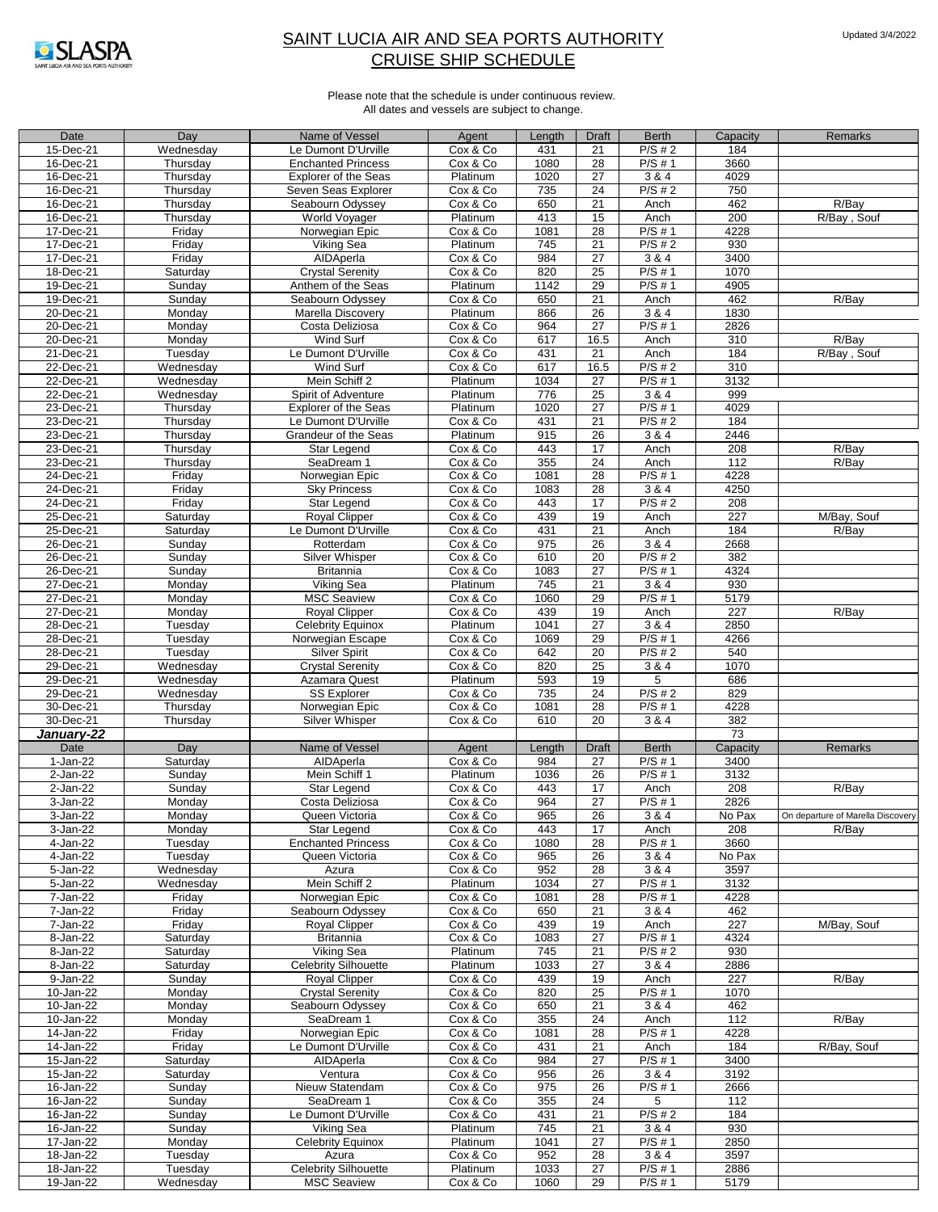

| Date                   | Day                | Name of Vessel                             | Agent                | Length            | Draft                 | <b>Berth</b>   | Capacity    | Remarks                           |
|------------------------|--------------------|--------------------------------------------|----------------------|-------------------|-----------------------|----------------|-------------|-----------------------------------|
| 15-Dec-21              | Wednesday          | Le Dumont D'Urville                        | Cox & Co             | 431               | 21                    | $P/S \# 2$     | 184         |                                   |
| 16-Dec-21              | Thursday           | <b>Enchanted Princess</b>                  | Cox & Co             | 1080              | 28                    | $P/S \# 1$     | 3660        |                                   |
| 16-Dec-21              | Thursday           | <b>Explorer of the Seas</b>                | Platinum             | 1020              | $\overline{27}$       | 3 & 4          | 4029        |                                   |
| 16-Dec-21              | Thursday           | Seven Seas Explorer                        | Cox & Co             | 735               | $\overline{24}$       | $P/S \# 2$     | 750         |                                   |
| 16-Dec-21              | Thursday           | Seabourn Odyssey                           | Cox & Co             | 650               | 21                    | Anch           | 462         | R/Bay                             |
| 16-Dec-21              | Thursday           | World Voyager                              | Platinum             | 413               | 15                    | Anch           | 200         | R/Bay, Souf                       |
| 17-Dec-21              | Friday             | Norwegian Epic                             | Cox & Co             | 1081              | 28                    | $P/S \# 1$     | 4228        |                                   |
| 17-Dec-21              | Friday             | Viking Sea                                 | Platinum             | 745               | 21                    | $P/S \# 2$     | 930         |                                   |
| 17-Dec-21              | Friday             | AIDAperla                                  | Cox & Co             | 984               | $\overline{27}$       | 3 & 4          | 3400        |                                   |
| 18-Dec-21              | Saturday           | <b>Crystal Serenity</b>                    | Cox & Co             | 820               | $\overline{25}$       | $P/S \# 1$     | 1070        |                                   |
| 19-Dec-21              | Sunday             | Anthem of the Seas                         | Platinum             | $11\overline{42}$ | 29                    | $P/S \# 1$     | 4905        |                                   |
| 19-Dec-21              | Sunday             | Seabourn Odyssey                           | Cox & Co             | 650               | 21                    | Anch           | 462         | R/Bay                             |
| $20 - Dec-21$          | Monday             | Marella Discovery                          | Platinum             | 866               | 26                    | 3 & 4          | 1830        |                                   |
| 20-Dec-21              | Monday             | Costa Deliziosa                            | Cox & Co             | 964               | 27                    | $P/S \# 1$     | 2826        |                                   |
| 20-Dec-21              | Monday             | Wind Surf                                  | Cox & Co             | 617               | 16.5                  | Anch           | 310         | R/Bay                             |
| 21-Dec-21              | Tuesday            | Le Dumont D'Urville                        | Cox & Co             | 431               | 21                    | Anch           | 184         | R/Bay, Souf                       |
| 22-Dec-21              | Wednesday          | Wind Surf                                  | Cox & Co             | 617               | 16.5                  | P/S#2          | 310         |                                   |
| 22-Dec-21              | Wednesday          | Mein Schiff 2                              | Platinum             | 1034              | 27                    | $P/S \# 1$     | 3132        |                                   |
| 22-Dec-21              | Wednesday          | Spirit of Adventure                        | Platinum             | 776               | 25                    | 3 & 4          | 999         |                                   |
| 23-Dec-21              | Thursday           | <b>Explorer of the Seas</b>                | Platinum             | 1020              | 27                    | $P/S \# 1$     | 4029        |                                   |
| 23-Dec-21              |                    | Le Dumont D'Urville                        |                      | 431               | 21                    | $P/S \# 2$     | 184         |                                   |
|                        | Thursday           |                                            | Cox & Co             | 915               | 26                    | 384            | 2446        |                                   |
| 23-Dec-21<br>23-Dec-21 | Thursday           | Grandeur of the Seas<br><b>Star Legend</b> | Platinum<br>Cox & Co | 443               | 17                    | Anch           | 208         | R/Bay                             |
| 23-Dec-21              | Thursday           |                                            | Cox & Co             | 355               | $\overline{24}$       | Anch           | 112         | R/Bay                             |
|                        | Thursday           | SeaDream 1                                 |                      | 1081              | 28                    | P/S#1          | 4228        |                                   |
| 24-Dec-21              | Friday             | Norwegian Epic                             | Cox & Co             |                   |                       |                |             |                                   |
| 24-Dec-21              | Friday             | <b>Sky Princess</b>                        | Cox & Co             | 1083              | 28                    | 3 & 4          | 4250        |                                   |
| 24-Dec-21<br>25-Dec-21 | Friday             | <b>Star Legend</b>                         | Cox & Co             | 443<br>439        | $\overline{17}$<br>19 | $P/S \# 2$     | 208<br>227  | M/Bay, Souf                       |
| 25-Dec-21              | Saturday           | <b>Royal Clipper</b>                       | Cox & Co             |                   |                       | Anch           |             |                                   |
|                        | Saturday           | Le Dumont D'Urville                        | Cox & Co             | 431               | $\overline{21}$       | Anch           | 184         | R/Bay                             |
| 26-Dec-21<br>26-Dec-21 | Sunday<br>Sunday   | Rotterdam                                  | Cox & Co             | 975<br>610        | 26<br>$\overline{20}$ | 3 & 4<br>P/S#2 | 2668<br>382 |                                   |
|                        |                    | Silver Whisper                             | Cox & Co             | 1083              | 27                    | $P/S \# 1$     | 4324        |                                   |
| 26-Dec-21              | Sunday             | <b>Britannia</b><br>Viking Sea             | Cox & Co             |                   |                       |                |             |                                   |
| 27-Dec-21<br>27-Dec-21 | Monday             | <b>MSC Seaview</b>                         | Platinum             | 745<br>1060       | 21<br>29              | 3 & 4<br>P/S#1 | 930<br>5179 |                                   |
| 27-Dec-21              | Monday<br>Monday   | Royal Clipper                              | Cox & Co<br>Cox & Co | 439               | 19                    | Anch           | 227         | R/Bay                             |
| 28-Dec-21              |                    |                                            |                      | 1041              | 27                    | 3 & 4          | 2850        |                                   |
| 28-Dec-21              | Tuesday<br>Tuesday | <b>Celebrity Equinox</b>                   | Platinum<br>Cox & Co | 1069              | 29                    | $P/S \# 1$     | 4266        |                                   |
| 28-Dec-21              | Tuesday            | Norwegian Escape<br><b>Silver Spirit</b>   | Cox & Co             | 642               | 20                    | $P/S \# 2$     | 540         |                                   |
| 29-Dec-21              | Wednesday          | <b>Crystal Serenity</b>                    | Cox & Co             | 820               | 25                    | 3 & 4          | 1070        |                                   |
| $29 - Dec-21$          | Wednesday          | Azamara Quest                              | Platinum             | 593               | 19                    | 5              | 686         |                                   |
| 29-Dec-21              | Wednesday          | <b>SS Explorer</b>                         | Cox & Co             | 735               | $\overline{24}$       | $P/S \# 2$     | 829         |                                   |
| 30-Dec-21              | Thursday           | Norwegian Epic                             | Cox & Co             | 1081              | 28                    | $P/S \# 1$     | 4228        |                                   |
| 30-Dec-21              | Thursday           | Silver Whisper                             | Cox & Co             | 610               | 20                    | 3 & 4          | 382         |                                   |
| January-22             |                    |                                            |                      |                   |                       |                | 73          |                                   |
| Date                   | Day                | Name of Vessel                             | Agent                | Length            | <b>Draft</b>          | <b>Berth</b>   | Capacity    | Remarks                           |
| 1-Jan-22               | Saturday           | AIDAperla                                  | Cox & Co             | 984               | 27                    | P/S # 1        | 3400        |                                   |
| $2-Jan-22$             | Sunday             | Mein Schiff 1                              | Platinum             | 1036              | 26                    | P/S#1          | 3132        |                                   |
| 2-Jan-22               | Sunday             | Star Legend                                | Cox & Co             | 443               | 17                    | Anch           | 208         | R/Bay                             |
| 3-Jan-22               | Monday             | Costa Deliziosa                            | Cox & Co             | 964               | $\overline{27}$       | $P/S \# 1$     | 2826        |                                   |
| 3-Jan-22               | Monday             | Queen Victoria                             | Cox & Co             | 965               | 26                    | 384            | No Pax      | On departure of Marella Discovery |
| 3-Jan-22               | Monday             | Star Legend                                | Cox & Co             | 443               | 17                    | Anch           | 208         | R/Bay                             |
| 4-Jan-22               | Tuesday            | <b>Enchanted Princess</b>                  | Cox & Co             | 1080              | 28                    | $P/S \# 1$     | 3660        |                                   |
| 4-Jan-22               | Tuesday            | Queen Victoria                             | Cox & Co             | 965               | 26                    | 3 & 4          | No Pax      |                                   |
| 5-Jan-22               | Wednesday          | Azura                                      | Cox & Co             | 952               | 28                    | 3 & 4          | 3597        |                                   |
| 5-Jan-22               | Wednesday          | Mein Schiff 2                              | Platinum             | 1034              | 27                    | $P/S \# 1$     | 3132        |                                   |
| 7-Jan-22               | Friday             | Norwegian Epic                             | Cox & Co             | 1081              | 28                    | $P/S \# 1$     | 4228        |                                   |
| 7-Jan-22               | Friday             | Seabourn Odyssey                           | Cox & Co             | 650               | 21                    | 3 & 4          | 462         |                                   |
| 7-Jan-22               | Friday             | Royal Clipper                              | Cox & Co             | 439               | 19                    | Anch           | 227         | M/Bay, Souf                       |
| 8-Jan-22               | Saturday           | <b>Britannia</b>                           | Cox & Co             | 1083              | 27                    | P/S # 1        | 4324        |                                   |
| 8-Jan-22               | Saturday           | Viking Sea                                 | Platinum             | 745               | 21                    | $P/S \# 2$     | 930         |                                   |
| 8-Jan-22               | Saturday           | <b>Celebrity Silhouette</b>                | Platinum             | 1033              | 27                    | 3 & 4          | 2886        |                                   |
| 9-Jan-22               | Sunday             | <b>Royal Clipper</b>                       | Cox & Co             | 439               | 19                    | Anch           | 227         | R/Bay                             |
| 10-Jan-22              | Monday             | <b>Crystal Serenity</b>                    | Cox & Co             | 820               | 25                    | $P/S \# 1$     | 1070        |                                   |
| 10-Jan-22              | Monday             | Seabourn Odyssey                           | Cox & Co             | 650               | 21                    | 3 & 4          | 462         |                                   |
| 10-Jan-22              | Monday             | SeaDream 1                                 | Cox & Co             | 355               | 24                    | Anch           | 112         | R/Bay                             |
| 14-Jan-22              | Friday             | Norwegian Epic                             | Cox & Co             | 1081              | 28                    | P/S # 1        | 4228        |                                   |
| 14-Jan-22              | Friday             | Le Dumont D'Urville                        | Cox & Co             | 431               | 21                    | Anch           | 184         | R/Bay, Souf                       |
| 15-Jan-22              | Saturday           | AIDAperla                                  | Cox & Co             | 984               | 27                    | $P/S \# 1$     | 3400        |                                   |
| 15-Jan-22              | Saturday           | Ventura                                    | Cox & Co             | 956               | 26                    | 3 & 4          | 3192        |                                   |
| 16-Jan-22              | Sunday             | Nieuw Statendam                            | Cox & Co             | 975               | 26                    | $P/S \# 1$     | 2666        |                                   |
| 16-Jan-22              | Sunday             | SeaDream 1                                 | Cox & Co             | 355               | 24                    | 5              | 112         |                                   |
| 16-Jan-22              | Sunday             | Le Dumont D'Urville                        | Cox & Co             | 431               | 21                    | P/S#2          | 184         |                                   |
| 16-Jan-22              | Sunday             | Viking Sea                                 | Platinum             | 745               | 21                    | 3 & 4          | 930         |                                   |
| 17-Jan-22              | Monday             | <b>Celebrity Equinox</b>                   | Platinum             | 1041              | 27                    | $P/S \# 1$     | 2850        |                                   |
| 18-Jan-22              | Tuesday            | Azura                                      | Cox & Co             | 952               | 28                    | 3 & 4          | 3597        |                                   |
| 18-Jan-22              | Tuesday            | <b>Celebrity Silhouette</b>                | Platinum             | 1033              | 27                    | $P/S \# 1$     | 2886        |                                   |
| 19-Jan-22              | Wednesday          | <b>MSC Seaview</b>                         | Cox & Co             | 1060              | 29                    | $P/S \# 1$     | 5179        |                                   |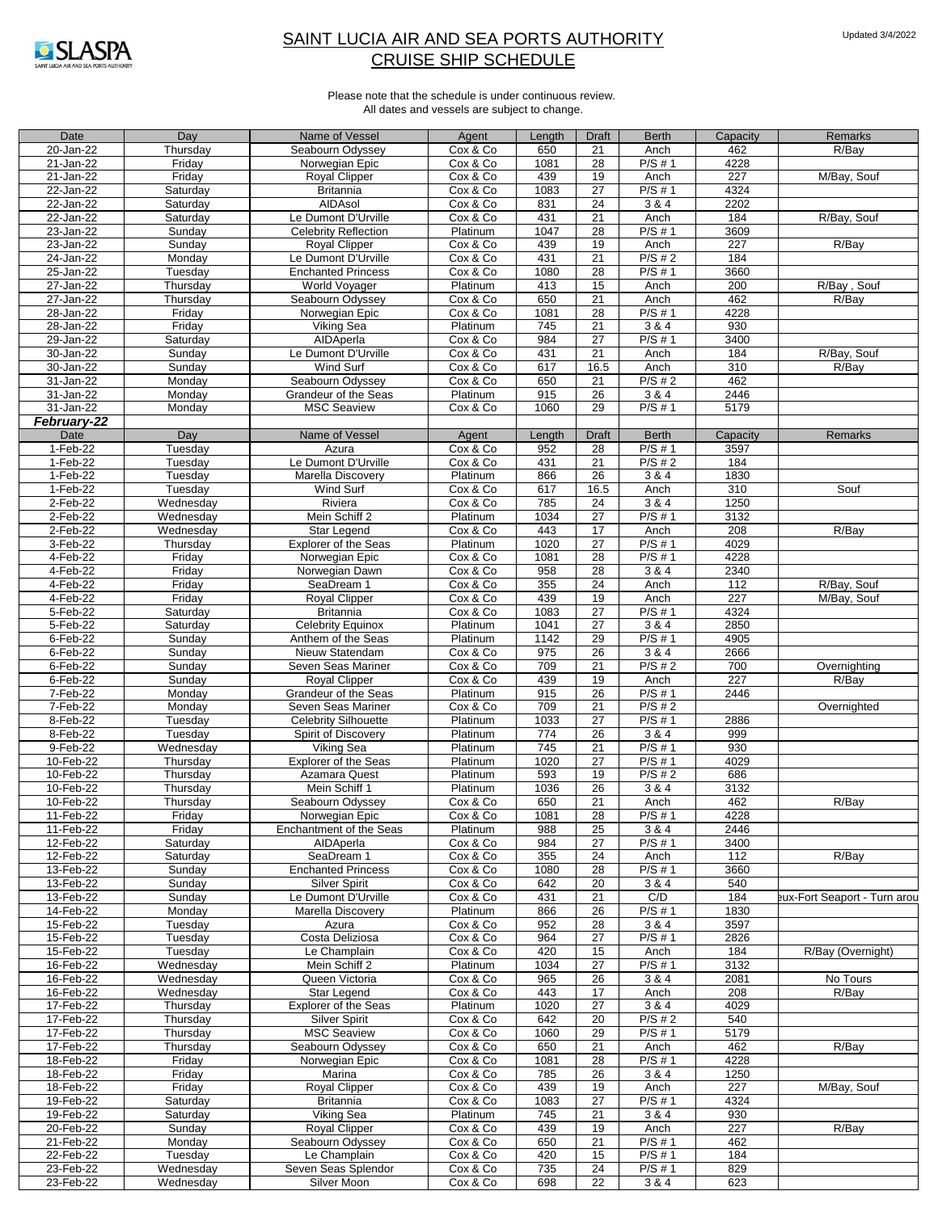

| Date        | Day       | Name of Vessel              | Agent    | Length | <b>Draft</b> | <b>Berth</b> | Capacity | Remarks                      |
|-------------|-----------|-----------------------------|----------|--------|--------------|--------------|----------|------------------------------|
| 20-Jan-22   | Thursday  | Seabourn Odyssey            | Cox & Co | 650    | 21           | Anch         | 462      | R/Bay                        |
| 21-Jan-22   | Friday    | Norwegian Epic              | Cox & Co | 1081   | 28           | $P/S \# 1$   | 4228     |                              |
| 21-Jan-22   | Friday    | Royal Clipper               | Cox & Co | 439    | 19           | Anch         | 227      | M/Bay, Souf                  |
|             |           |                             |          |        |              |              |          |                              |
| 22-Jan-22   | Saturday  | <b>Britannia</b>            | Cox & Co | 1083   | 27           | $P/S \# 1$   | 4324     |                              |
| 22-Jan-22   | Saturday  | AIDAsol                     | Cox & Co | 831    | 24           | 3 & 4        | 2202     |                              |
| 22-Jan-22   | Saturday  | Le Dumont D'Urville         | Cox & Co | 431    | 21           | Anch         | 184      | R/Bay, Souf                  |
| 23-Jan-22   | Sunday    | <b>Celebrity Reflection</b> | Platinum | 1047   | 28           | $P/S \# 1$   | 3609     |                              |
| 23-Jan-22   | Sunday    | <b>Royal Clipper</b>        | Cox & Co | 439    | 19           | Anch         | 227      | R/Bay                        |
| 24-Jan-22   | Monday    | Le Dumont D'Urville         | Cox & Co | 431    | 21           | P/S#2        | 184      |                              |
| 25-Jan-22   | Tuesday   | <b>Enchanted Princess</b>   | Cox & Co | 1080   | 28           | $P/S \# 1$   | 3660     |                              |
| 27-Jan-22   |           | World Voyager               |          |        | 15           |              | 200      | R/Bay, Souf                  |
|             | Thursday  |                             | Platinum | 413    |              | Anch         |          |                              |
| 27-Jan-22   | Thursday  | Seabourn Odyssey            | Cox & Co | 650    | 21           | Anch         | 462      | R/Bay                        |
| 28-Jan-22   | Friday    | Norwegian Epic              | Cox & Co | 1081   | 28           | $P/S \# 1$   | 4228     |                              |
| 28-Jan-22   | Friday    | Viking Sea                  | Platinum | 745    | 21           | 3 & 4        | 930      |                              |
| 29-Jan-22   | Saturday  | AIDAperla                   | Cox & Co | 984    | 27           | $P/S \# 1$   | 3400     |                              |
| 30-Jan-22   | Sunday    | Le Dumont D'Urville         | Cox & Co | 431    | 21           | Anch         | 184      | R/Bay, Souf                  |
| 30-Jan-22   | Sunday    | Wind Surf                   | Cox & Co | 617    | 16.5         | Anch         | 310      | R/Bay                        |
| 31-Jan-22   | Monday    | Seabourn Odyssey            | Cox & Co | 650    | 21           | P/S#2        | 462      |                              |
| 31-Jan-22   | Monday    | Grandeur of the Seas        | Platinum | 915    | 26           | 3 & 4        | 2446     |                              |
|             |           |                             |          |        |              |              |          |                              |
| 31-Jan-22   | Monday    | <b>MSC Seaview</b>          | Cox & Co | 1060   | 29           | $P/S \# 1$   | 5179     |                              |
| February-22 |           |                             |          |        |              |              |          |                              |
| Date        | Day       | Name of Vessel              | Agent    | Length | Draft        | <b>Berth</b> | Capacity | Remarks                      |
| 1-Feb-22    | Tuesday   | Azura                       | Cox & Co | 952    | 28           | $P/S \# 1$   | 3597     |                              |
| 1-Feb-22    | Tuesday   | Le Dumont D'Urville         | Cox & Co | 431    | 21           | $P/S \# 2$   | 184      |                              |
| 1-Feb-22    | Tuesday   | Marella Discovery           | Platinum | 866    | 26           | 3 & 4        | 1830     |                              |
| 1-Feb-22    | Tuesday   | Wind Surf                   | Cox & Co | 617    | 16.5         | Anch         | 310      | Souf                         |
| 2-Feb-22    |           |                             |          |        |              | 3 & 4        |          |                              |
|             | Wednesday | Riviera                     | Cox & Co | 785    | 24           |              | 1250     |                              |
| 2-Feb-22    | Wednesday | Mein Schiff 2               | Platinum | 1034   | 27           | P/S#1        | 3132     |                              |
| 2-Feb-22    | Wednesdav | Star Legend                 | Cox & Co | 443    | 17           | Anch         | 208      | R/Bay                        |
| 3-Feb-22    | Thursdav  | <b>Explorer of the Seas</b> | Platinum | 1020   | 27           | $P/S \# 1$   | 4029     |                              |
| 4-Feb-22    | Friday    | Norwegian Epic              | Cox & Co | 1081   | 28           | $P/S \# 1$   | 4228     |                              |
| 4-Feb-22    | Friday    | Norwegian Dawn              | Cox & Co | 958    | 28           | 3 & 4        | 2340     |                              |
| 4-Feb-22    | Friday    | SeaDream 1                  | Cox & Co | 355    | 24           | Anch         | 112      | R/Bay, Souf                  |
| 4-Feb-22    | Friday    | <b>Royal Clipper</b>        | Cox & Co | 439    | 19           | Anch         | 227      | M/Bay, Souf                  |
|             |           |                             |          |        |              |              |          |                              |
| 5-Feb-22    | Saturday  | <b>Britannia</b>            | Cox & Co | 1083   | 27           | $P/S \# 1$   | 4324     |                              |
| 5-Feb-22    | Saturday  | Celebrity Equinox           | Platinum | 1041   | 27           | 3 & 4        | 2850     |                              |
| 6-Feb-22    | Sunday    | Anthem of the Seas          | Platinum | 1142   | 29           | $P/S \# 1$   | 4905     |                              |
| 6-Feb-22    | Sunday    | Nieuw Statendam             | Cox & Co | 975    | 26           | 3 & 4        | 2666     |                              |
| 6-Feb-22    | Sunday    | Seven Seas Mariner          | Cox & Co | 709    | 21           | P/S#2        | 700      | Overnighting                 |
| 6-Feb-22    | Sunday    | <b>Royal Clipper</b>        | Cox & Co | 439    | 19           | Anch         | 227      | R/Bay                        |
| 7-Feb-22    | Monday    | Grandeur of the Seas        | Platinum | 915    | 26           | P/S#1        | 2446     |                              |
|             |           |                             |          |        |              | $P/S \# 2$   |          |                              |
| 7-Feb-22    | Monday    | Seven Seas Mariner          | Cox & Co | 709    | 21           |              |          | Overnighted                  |
| 8-Feb-22    | Tuesday   | Celebrity Silhouette        | Platinum | 1033   | 27           | $P/S \# 1$   | 2886     |                              |
| 8-Feb-22    | Tuesday   | Spirit of Discovery         | Platinum | 774    | 26           | 3 & 4        | 999      |                              |
| 9-Feb-22    | Wednesday | Viking Sea                  | Platinum | 745    | 21           | $P/S \# 1$   | 930      |                              |
| 10-Feb-22   | Thursday  | Explorer of the Seas        | Platinum | 1020   | 27           | $P/S \# 1$   | 4029     |                              |
| 10-Feb-22   | Thursday  | Azamara Quest               | Platinum | 593    | 19           | P/S#2        | 686      |                              |
| 10-Feb-22   | Thursday  | Mein Schiff 1               | Platinum | 1036   | 26           | 3 & 4        | 3132     |                              |
| 10-Feb-22   | Thursday  | Seabourn Odyssey            | Cox & Co | 650    | 21           | Anch         | 462      | R/Bay                        |
| 11-Feb-22   |           |                             |          |        |              | $P/S \# 1$   |          |                              |
|             | Friday    | Norwegian Epic              | Cox & Co | 1081   | 28           |              | 4228     |                              |
| 11-Feb-22   | Friday    | Enchantment of the Seas     | Platinum | 988    | 25           | 3 & 4        | 2446     |                              |
| 12-Feb-22   | Saturday  | AIDAperla                   | Cox & Co | 984    | 27           | $P/S \# 1$   | 3400     |                              |
| 12-Feb-22   | Saturday  | SeaDream 1                  | Cox & Co | 355    | 24           | Anch         | 112      | R/Bay                        |
| 13-Feb-22   | Sunday    | <b>Enchanted Princess</b>   | Cox & Co | 1080   | 28           | $P/S \# 1$   | 3660     |                              |
| 13-Feb-22   | Sunday    | <b>Silver Spirit</b>        | Cox & Co | 642    | 20           | 3 & 4        | 540      |                              |
| 13-Feb-22   | Sunday    | Le Dumont D'Urville         | Cox & Co | 431    | 21           | C/D          | 184      | eux-Fort Seaport - Turn arou |
| 14-Feb-22   | Monday    | Marella Discovery           | Platinum | 866    | 26           | $P/S \# 1$   | 1830     |                              |
| 15-Feb-22   | Tuesday   | Azura                       | Cox & Co | 952    | 28           | 3 & 4        | 3597     |                              |
|             |           | Costa Deliziosa             |          | 964    |              | $P/S \# 1$   |          |                              |
| 15-Feb-22   | Tuesday   |                             | Cox & Co |        | 27           |              | 2826     |                              |
| 15-Feb-22   | Tuesday   | Le Champlain                | Cox & Co | 420    | 15           | Anch         | 184      | R/Bay (Overnight)            |
| 16-Feb-22   | Wednesday | Mein Schiff 2               | Platinum | 1034   | 27           | $P/S \# 1$   | 3132     |                              |
| 16-Feb-22   | Wednesday | Queen Victoria              | Cox & Co | 965    | 26           | 3 & 4        | 2081     | No Tours                     |
| 16-Feb-22   | Wednesday | Star Legend                 | Cox & Co | 443    | 17           | Anch         | 208      | R/Bay                        |
| 17-Feb-22   | Thursday  | <b>Explorer of the Seas</b> | Platinum | 1020   | 27           | 3 & 4        | 4029     |                              |
| 17-Feb-22   | Thursday  | <b>Silver Spirit</b>        | Cox & Co | 642    | 20           | $P/S \# 2$   | 540      |                              |
| 17-Feb-22   | Thursday  | <b>MSC Seaview</b>          | Cox & Co | 1060   | 29           | P/S#1        | 5179     |                              |
| 17-Feb-22   | Thursday  | Seabourn Odyssey            | Cox & Co | 650    | 21           | Anch         | 462      | R/Bay                        |
|             |           |                             |          |        |              |              |          |                              |
| 18-Feb-22   | Friday    | Norwegian Epic              | Cox & Co | 1081   | 28           | $P/S \# 1$   | 4228     |                              |
| 18-Feb-22   | Friday    | Marina                      | Cox & Co | 785    | 26           | 3 & 4        | 1250     |                              |
| 18-Feb-22   | Friday    | <b>Royal Clipper</b>        | Cox & Co | 439    | 19           | Anch         | 227      | M/Bay, Souf                  |
| 19-Feb-22   | Saturday  | <b>Britannia</b>            | Cox & Co | 1083   | 27           | $P/S \# 1$   | 4324     |                              |
| 19-Feb-22   | Saturday  | Viking Sea                  | Platinum | 745    | 21           | 3 & 4        | 930      |                              |
| 20-Feb-22   | Sunday    | Royal Clipper               | Cox & Co | 439    | 19           | Anch         | 227      | R/Bay                        |
| 21-Feb-22   | Monday    | Seabourn Odyssey            | Cox & Co | 650    | 21           | $P/S \# 1$   | 462      |                              |
| 22-Feb-22   |           |                             |          |        | 15           | P/S#1        | 184      |                              |
|             | Tuesday   | Le Champlain                | Cox & Co | 420    |              |              |          |                              |
| 23-Feb-22   | Wednesday | Seven Seas Splendor         | Cox & Co | 735    | 24           | $P/S \# 1$   | 829      |                              |
| 23-Feb-22   | Wednesday | Silver Moon                 | Cox & Co | 698    | 22           | 3 & 4        | 623      |                              |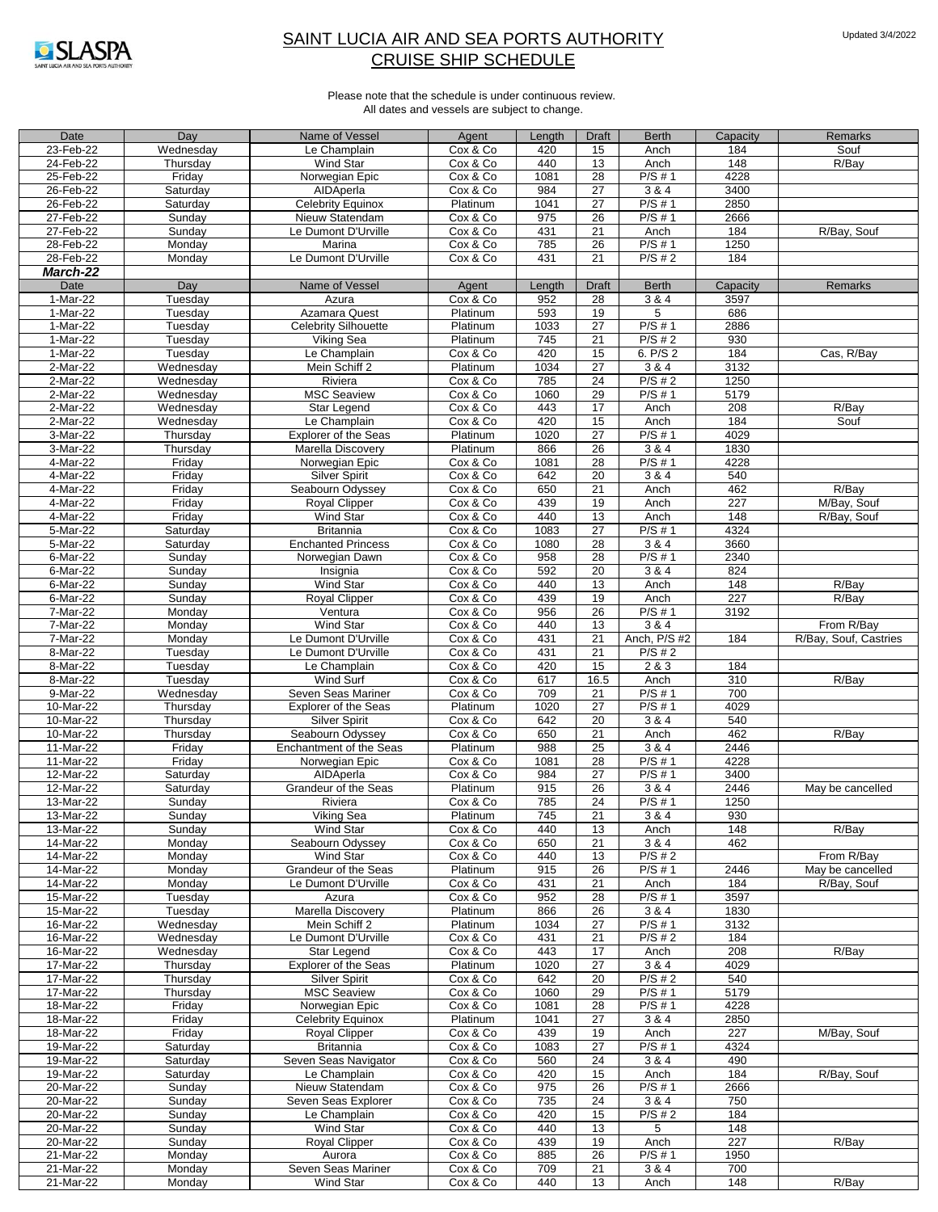

| Date            | Day       | Name of Vessel              | Agent    | Length | <b>Draft</b>    | <b>Berth</b> | Capacity | Remarks               |
|-----------------|-----------|-----------------------------|----------|--------|-----------------|--------------|----------|-----------------------|
| 23-Feb-22       | Wednesday | Le Champlain                | Cox & Co | 420    | 15              | Anch         | 184      | Souf                  |
| 24-Feb-22       | Thursday  | Wind Star                   | Cox & Co | 440    | 13              | Anch         | 148      | R/Bay                 |
| 25-Feb-22       | Friday    | Norwegian Epic              | Cox & Co | 1081   | $\overline{28}$ | P/S#1        | 4228     |                       |
| 26-Feb-22       | Saturday  | AIDAperla                   | Cox & Co | 984    | 27              | 3 & 4        | 3400     |                       |
| 26-Feb-22       | Saturday  | <b>Celebrity Equinox</b>    | Platinum | 1041   | 27              | P/S # 1      | 2850     |                       |
| 27-Feb-22       | Sunday    | Nieuw Statendam             | Cox & Co | 975    | $\overline{26}$ | P/S#1        | 2666     |                       |
|                 |           |                             |          |        |                 |              |          |                       |
| 27-Feb-22       | Sunday    | Le Dumont D'Urville         | Cox & Co | 431    | 21              | Anch         | 184      | R/Bay, Souf           |
| 28-Feb-22       | Monday    | Marina                      | Cox & Co | 785    | $\overline{26}$ | $P/S \# 1$   | 1250     |                       |
| 28-Feb-22       | Monday    | Le Dumont D'Urville         | Cox & Co | 431    | 21              | P/S#2        | 184      |                       |
| <b>March-22</b> |           |                             |          |        |                 |              |          |                       |
| Date            | Day       | Name of Vessel              | Agent    | Length | <b>Draft</b>    | <b>Berth</b> | Capacity | Remarks               |
| 1-Mar-22        | Tuesday   | Azura                       | Cox & Co | 952    | $\overline{28}$ | 384          | 3597     |                       |
| 1-Mar-22        | Tuesday   | Azamara Quest               | Platinum | 593    | 19              | 5            | 686      |                       |
| 1-Mar-22        | Tuesday   | <b>Celebrity Silhouette</b> | Platinum | 1033   | $\overline{27}$ | $P/S \# 1$   | 2886     |                       |
| 1-Mar-22        | Tuesday   | Viking Sea                  | Platinum | 745    | 21              | P/S#2        | 930      |                       |
| 1-Mar-22        | Tuesday   | Le Champlain                | Cox & Co | 420    | 15              | 6. P/S 2     | 184      | Cas, R/Bay            |
| 2-Mar-22        |           | Mein Schiff 2               |          | 1034   | $\overline{27}$ | 3 & 4        | 3132     |                       |
|                 | Wednesday |                             | Platinum |        |                 |              |          |                       |
| 2-Mar-22        | Wednesday | Riviera                     | Cox & Co | 785    | 24              | $P/S \# 2$   | 1250     |                       |
| 2-Mar-22        | Wednesday | <b>MSC Seaview</b>          | Cox & Co | 1060   | 29              | $P/S \# 1$   | 5179     |                       |
| $2-Mar-22$      | Wednesday | Star Legend                 | Cox & Co | 443    | $\overline{17}$ | Anch         | 208      | R/Bay                 |
| 2-Mar-22        | Wednesday | Le Champlain                | Cox & Co | 420    | 15              | Anch         | 184      | Souf                  |
| 3-Mar-22        | Thursday  | <b>Explorer of the Seas</b> | Platinum | 1020   | 27              | P/S#1        | 4029     |                       |
| 3-Mar-22        | Thursday  | Marella Discovery           | Platinum | 866    | $\overline{26}$ | 3 & 4        | 1830     |                       |
| 4-Mar-22        | Friday    | Norwegian Epic              | Cox & Co | 1081   | 28              | P/S # 1      | 4228     |                       |
| 4-Mar-22        | Friday    | <b>Silver Spirit</b>        | Cox & Co | 642    | 20              | 384          | 540      |                       |
| 4-Mar-22        | Friday    | Seabourn Odyssey            | Cox & Co | 650    | $\overline{21}$ | Anch         | 462      | R/Bay                 |
| 4-Mar-22        | Friday    | Royal Clipper               | Cox & Co | 439    | 19              | Anch         | 227      | M/Bay, Souf           |
|                 |           |                             |          |        |                 |              |          |                       |
| 4-Mar-22        | Friday    | <b>Wind Star</b>            | Cox & Co | 440    | 13              | Anch         | 148      | R/Bay, Souf           |
| 5-Mar-22        | Saturday  | <b>Britannia</b>            | Cox & Co | 1083   | $\overline{27}$ | $P/S \# 1$   | 4324     |                       |
| 5-Mar-22        | Saturday  | <b>Enchanted Princess</b>   | Cox & Co | 1080   | 28              | 3 & 4        | 3660     |                       |
| 6-Mar-22        | Sunday    | Norwegian Dawn              | Cox & Co | 958    | $\overline{28}$ | P/S#1        | 2340     |                       |
| 6-Mar-22        | Sunday    | Insignia                    | Cox & Co | 592    | 20              | 3 & 4        | 824      |                       |
| $6$ -Mar-22     | Sunday    | <b>Wind Star</b>            | Cox & Co | 440    | 13              | Anch         | 148      | R/Bay                 |
| 6-Mar-22        | Sunday    | Royal Clipper               | Cox & Co | 439    | 19              | Anch         | 227      | R/Bay                 |
| 7-Mar-22        | Monday    | Ventura                     | Cox & Co | 956    | $\overline{26}$ | $P/S \# 1$   | 3192     |                       |
| 7-Mar-22        | Monday    | Wind Star                   | Cox & Co | 440    | 13              | 3 & 4        |          | From R/Bay            |
| 7-Mar-22        | Monday    | Le Dumont D'Urville         | Cox & Co | 431    | $\overline{21}$ | Anch, P/S #2 | 184      | R/Bay, Souf, Castries |
| 8-Mar-22        | Tuesday   | Le Dumont D'Urville         | Cox & Co | 431    | 21              | $P/S \# 2$   |          |                       |
|                 |           |                             |          |        |                 |              |          |                       |
| 8-Mar-22        | Tuesday   | Le Champlain                | Cox & Co | 420    | 15              | 2&83         | 184      |                       |
| 8-Mar-22        | Tuesday   | Wind Surf                   | Cox & Co | 617    | 16.5            | Anch         | 310      | R/Bay                 |
| 9-Mar-22        | Wednesday | Seven Seas Mariner          | Cox & Co | 709    | $\overline{21}$ | P/S#1        | 700      |                       |
| 10-Mar-22       | Thursday  | <b>Explorer of the Seas</b> | Platinum | 1020   | 27              | P/S # 1      | 4029     |                       |
| 10-Mar-22       | Thursday  | Silver Spirit               | Cox & Co | 642    | 20              | 3 & 4        | 540      |                       |
| 10-Mar-22       | Thursday  | Seabourn Odyssey            | Cox & Co | 650    | $\overline{21}$ | Anch         | 462      | R/Bay                 |
| 11-Mar-22       | Friday    | Enchantment of the Seas     | Platinum | 988    | 25              | 3 & 4        | 2446     |                       |
| 11-Mar-22       | Friday    | Norwegian Epic              | Cox & Co | 1081   | $\overline{28}$ | $P/S \# 1$   | 4228     |                       |
| 12-Mar-22       | Saturday  | AIDAperla                   | Cox & Co | 984    | 27              | P/S#1        | 3400     |                       |
| 12-Mar-22       | Saturday  | Grandeur of the Seas        | Platinum | 915    | $\overline{26}$ | 3 & 4        | 2446     | May be cancelled      |
| 13-Mar-22       | Sunday    | Riviera                     | Cox & Co | 785    | $\overline{24}$ | $P/S \# 1$   | 1250     |                       |
|                 |           |                             | Platinum | 745    | 21              | 384          | 930      |                       |
| 13-Mar-22       | Sunday    | Viking Sea                  |          |        |                 |              |          |                       |
| 13-Mar-22       | Sunday    | Wind Star                   | Cox & Co | 440    | 13              | Anch         | 148      | R/Bay                 |
| 14-Mar-22       | Monday    | Seabourn Odyssey            | Cox & Co | 650    | 21              | 3 & 4        | 462      |                       |
| 14-Mar-22       | Monday    | Wind Star                   | Cox & Co | 440    | 13              | P/S#2        |          | From R/Bay            |
| 14-Mar-22       | Monday    | Grandeur of the Seas        | Platinum | 915    | 26              | $P/S \# 1$   | 2446     | May be cancelled      |
| 14-Mar-22       | Monday    | Le Dumont D'Urville         | Cox & Co | 431    | 21              | Anch         | 184      | R/Bay, Souf           |
| 15-Mar-22       | Tuesday   | Azura                       | Cox & Co | 952    | 28              | $P/S \# 1$   | 3597     |                       |
| 15-Mar-22       | Tuesday   | Marella Discovery           | Platinum | 866    | 26              | 3 & 4        | 1830     |                       |
| $16$ -Mar-22    | Wednesday | Mein Schiff 2               | Platinum | 1034   | 27              | $P/S \# 1$   | 3132     |                       |
| 16-Mar-22       | Wednesday | Le Dumont D'Urville         | Cox & Co | 431    | 21              | $P/S \# 2$   | 184      |                       |
| 16-Mar-22       | Wednesday | Star Legend                 | Cox & Co | 443    | 17              | Anch         | 208      | R/Bay                 |
| 17-Mar-22       | Thursday  | <b>Explorer of the Seas</b> | Platinum | 1020   | 27              | 3 & 4        | 4029     |                       |
|                 |           |                             |          |        |                 |              |          |                       |
| 17-Mar-22       | Thursday  | Silver Spirit               | Cox & Co | 642    | 20              | $P/S \# 2$   | 540      |                       |
| 17-Mar-22       | Thursday  | <b>MSC Seaview</b>          | Cox & Co | 1060   | 29              | $P/S \# 1$   | 5179     |                       |
| 18-Mar-22       | Friday    | Norwegian Epic              | Cox & Co | 1081   | 28              | $P/S \# 1$   | 4228     |                       |
| 18-Mar-22       | Friday    | <b>Celebrity Equinox</b>    | Platinum | 1041   | 27              | 3 & 4        | 2850     |                       |
| 18-Mar-22       | Friday    | Royal Clipper               | Cox & Co | 439    | 19              | Anch         | 227      | M/Bay, Souf           |
| 19-Mar-22       | Saturday  | <b>Britannia</b>            | Cox & Co | 1083   | 27              | P/S # 1      | 4324     |                       |
| 19-Mar-22       | Saturday  | Seven Seas Navigator        | Cox & Co | 560    | 24              | 3 & 4        | 490      |                       |
| 19-Mar-22       | Saturday  | Le Champlain                | Cox & Co | 420    | 15              | Anch         | 184      | R/Bay, Souf           |
| 20-Mar-22       | Sunday    | Nieuw Statendam             | Cox & Co | 975    | 26              | $P/S \# 1$   | 2666     |                       |
| 20-Mar-22       | Sunday    | Seven Seas Explorer         | Cox & Co | 735    | 24              | 3 & 4        | 750      |                       |
| 20-Mar-22       | Sunday    | Le Champlain                | Cox & Co | 420    | 15              | $P/S \# 2$   | 184      |                       |
|                 |           |                             |          |        |                 |              |          |                       |
| 20-Mar-22       | Sunday    | Wind Star                   | Cox & Co | 440    | 13              | 5            | 148      |                       |
| 20-Mar-22       | Sunday    | <b>Royal Clipper</b>        | Cox & Co | 439    | 19              | Anch         | 227      | R/Bay                 |
| 21-Mar-22       | Monday    | Aurora                      | Cox & Co | 885    | 26              | $P/S \# 1$   | 1950     |                       |
| 21-Mar-22       | Monday    | Seven Seas Mariner          | Cox & Co | 709    | 21              | 3 & 4        | 700      |                       |
| 21-Mar-22       | Monday    | Wind Star                   | Cox & Co | 440    | 13              | Anch         | 148      | R/Bay                 |